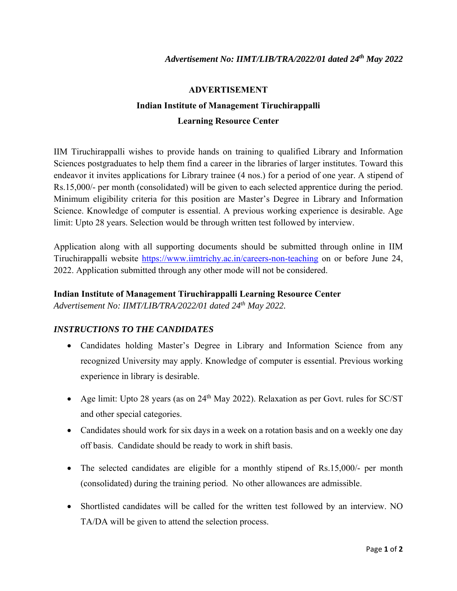## **ADVERTISEMENT**

## **Indian Institute of Management Tiruchirappalli Learning Resource Center**

IIM Tiruchirappalli wishes to provide hands on training to qualified Library and Information Sciences postgraduates to help them find a career in the libraries of larger institutes. Toward this endeavor it invites applications for Library trainee (4 nos.) for a period of one year. A stipend of Rs.15,000/- per month (consolidated) will be given to each selected apprentice during the period. Minimum eligibility criteria for this position are Master's Degree in Library and Information Science. Knowledge of computer is essential. A previous working experience is desirable. Age limit: Upto 28 years. Selection would be through written test followed by interview.

Application along with all supporting documents should be submitted through online in IIM Tiruchirappalli website https://www.iimtrichy.ac.in/careers-non-teaching on or before June 24, 2022. Application submitted through any other mode will not be considered.

## **Indian Institute of Management Tiruchirappalli Learning Resource Center**

*Advertisement No: IIMT/LIB/TRA/2022/01 dated 24th May 2022.* 

## *INSTRUCTIONS TO THE CANDIDATES*

- Candidates holding Master's Degree in Library and Information Science from any recognized University may apply. Knowledge of computer is essential. Previous working experience in library is desirable.
- Age limit: Upto 28 years (as on  $24<sup>th</sup>$  May 2022). Relaxation as per Govt. rules for SC/ST and other special categories.
- Candidates should work for six days in a week on a rotation basis and on a weekly one day off basis. Candidate should be ready to work in shift basis.
- The selected candidates are eligible for a monthly stipend of Rs.15,000/- per month (consolidated) during the training period. No other allowances are admissible.
- Shortlisted candidates will be called for the written test followed by an interview. NO TA/DA will be given to attend the selection process.